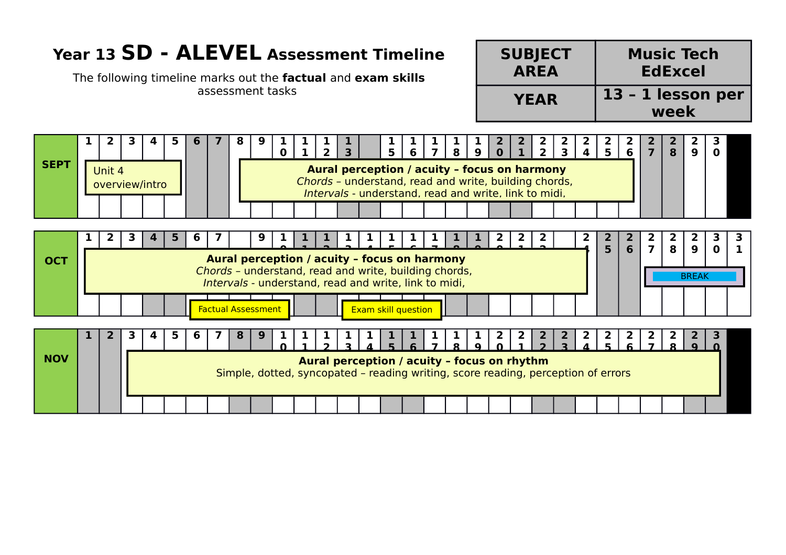## **Year 13 SD - ALEVEL Assessment Timeline**

The following timeline marks out the **factual** and **exam skills** assessment tasks

| <b>SUBJECT</b> | <b>Music Tech</b>         |
|----------------|---------------------------|
| <b>AREA</b>    | <b>EdExcel</b>            |
| <b>YEAR</b>    | 13 - 1 lesson per<br>week |

|             | 2            |                | 5 |   |                                                                                                                | 9 | $\Omega$ |  | 3 | 5 | 6                   | $\overline{\phantom{a}}$ | 8                                                                                                                                                              | 9 |    |              | $\overline{2}$ | $\mathbf{R}$ | 5 <sup>1</sup> | 6                               | $\overline{\mathbf{z}}$ | 8      | 9                                | O                 |
|-------------|--------------|----------------|---|---|----------------------------------------------------------------------------------------------------------------|---|----------|--|---|---|---------------------|--------------------------|----------------------------------------------------------------------------------------------------------------------------------------------------------------|---|----|--------------|----------------|--------------|----------------|---------------------------------|-------------------------|--------|----------------------------------|-------------------|
| <b>SEPT</b> | Unit 4       | overview/intro |   |   |                                                                                                                |   |          |  |   |   |                     |                          | Aural perception / acuity - focus on harmony<br>Chords - understand, read and write, building chords,<br>Intervals - understand, read and write, link to midi. |   |    |              |                |              |                |                                 |                         |        |                                  |                   |
|             |              |                |   |   |                                                                                                                |   |          |  |   |   |                     |                          |                                                                                                                                                                |   |    |              |                |              |                |                                 |                         |        |                                  |                   |
|             | $\mathbf{2}$ | 3              | 5 | b |                                                                                                                | 9 |          |  |   |   |                     |                          |                                                                                                                                                                |   | 2. | $\mathbf{2}$ | $\mathbf{2}$   |              | 2<br>5         | $\mathbf{2}$<br>$6\overline{6}$ | 2                       | 2<br>8 | $\mathbf{2}$<br>$\boldsymbol{9}$ | 3<br>$\mathbf{0}$ |
| <b>OCT</b>  |              |                |   |   | Aural perception / acuity - focus on harmony                                                                   |   |          |  |   |   |                     |                          |                                                                                                                                                                |   |    |              |                |              |                |                                 |                         |        |                                  |                   |
|             |              |                |   |   | Chords - understand, read and write, building chords,<br>Intervals - understand, read and write, link to midi, |   |          |  |   |   |                     |                          |                                                                                                                                                                |   |    |              |                |              |                |                                 |                         |        | <b>BREAK</b>                     |                   |
|             |              |                |   |   | <b>Factual Assessment</b>                                                                                      |   |          |  |   |   | Exam skill question |                          |                                                                                                                                                                |   |    |              |                |              |                |                                 |                         |        |                                  |                   |
|             | $\mathbf{2}$ | 3              | 5 |   |                                                                                                                |   |          |  |   |   |                     |                          |                                                                                                                                                                |   |    |              |                |              |                |                                 |                         |        |                                  |                   |
| <b>NOV</b>  |              |                |   |   |                                                                                                                |   |          |  |   |   |                     |                          | Aural perception / acuity - focus on rhythm<br>Simple, dotted, syncopated - reading writing, score reading, perception of errors                               |   |    |              |                |              |                |                                 |                         |        |                                  |                   |
|             |              |                |   |   |                                                                                                                |   |          |  |   |   |                     |                          |                                                                                                                                                                |   |    |              |                |              |                |                                 |                         |        |                                  |                   |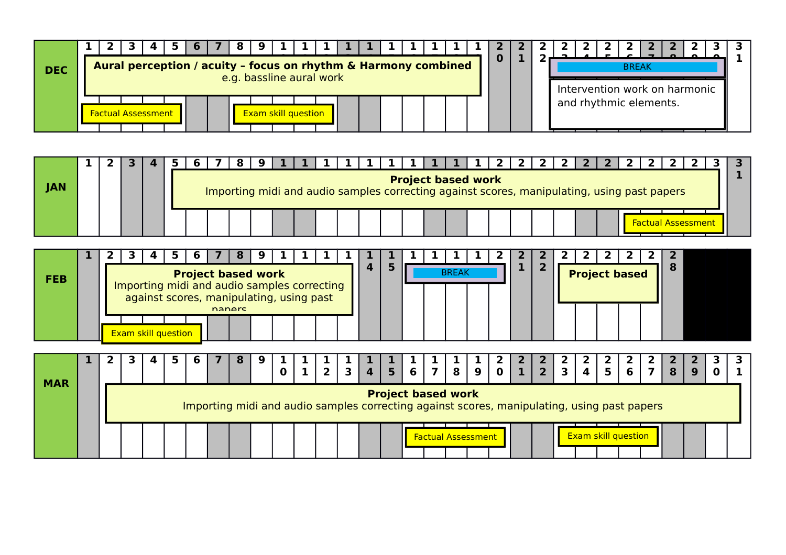| <b>DEC</b> |  |                           |  |  |                            |  | Aural perception / acuity - focus on rhythm & Harmony combined<br>e.g. bassline aural work |  |  |  | υ |  |  | <b>BREAK</b> |                        |                               |  |
|------------|--|---------------------------|--|--|----------------------------|--|--------------------------------------------------------------------------------------------|--|--|--|---|--|--|--------------|------------------------|-------------------------------|--|
|            |  |                           |  |  |                            |  |                                                                                            |  |  |  |   |  |  |              |                        | Intervention work on harmonic |  |
|            |  | <b>Factual Assessment</b> |  |  | <b>Exam skill question</b> |  |                                                                                            |  |  |  |   |  |  |              | and rhythmic elements. |                               |  |

|            |  |  |  |  |  |  |  | 1   1   1   1   1   1   1 |  | 1 2 2 2 2 2 2 2 2 2                                                                         |  |  |  |  |                          |  |
|------------|--|--|--|--|--|--|--|---------------------------|--|---------------------------------------------------------------------------------------------|--|--|--|--|--------------------------|--|
| <b>JAN</b> |  |  |  |  |  |  |  | <b>Project based work</b> |  | Importing midi and audio samples correcting against scores, manipulating, using past papers |  |  |  |  |                          |  |
|            |  |  |  |  |  |  |  |                           |  |                                                                                             |  |  |  |  | <u>Factual Assessmen</u> |  |

|            |  |                                             |    | b |                                          |        |   |          |                |                |                |                |                |               |               |                                                                                                                          |               |                                        |                                                      |               |               |               | $\mathbf{2}$ |                            |                                       |   |                |             |   |
|------------|--|---------------------------------------------|----|---|------------------------------------------|--------|---|----------|----------------|----------------|----------------|----------------|----------------|---------------|---------------|--------------------------------------------------------------------------------------------------------------------------|---------------|----------------------------------------|------------------------------------------------------|---------------|---------------|---------------|--------------|----------------------------|---------------------------------------|---|----------------|-------------|---|
| <b>FEB</b> |  | Importing midi and audio samples correcting |    |   | <b>Project based work</b>                |        |   |          |                |                |                | 4              | 5              |               |               | <b>BREAK</b>                                                                                                             |               |                                        |                                                      | 2             |               |               |              | <b>Project based</b>       |                                       | 8 |                |             |   |
|            |  |                                             |    |   | against scores, manipulating, using past | naners |   |          |                |                |                |                |                |               |               |                                                                                                                          |               |                                        |                                                      |               |               |               |              |                            |                                       |   |                |             |   |
|            |  | <b>Exam skill question</b>                  |    |   |                                          |        |   |          |                |                |                |                |                |               |               |                                                                                                                          |               |                                        |                                                      |               |               |               |              |                            |                                       |   |                |             |   |
|            |  |                                             |    |   |                                          |        |   |          |                |                |                |                |                |               |               |                                                                                                                          |               |                                        |                                                      |               |               |               |              |                            |                                       |   |                |             |   |
|            |  |                                             | 5. | 6 |                                          |        | 9 |          |                | 2 <sup>1</sup> | $\overline{3}$ | $\overline{4}$ | $\overline{5}$ | $\frac{1}{6}$ | $\frac{1}{7}$ | $\frac{8}{1}$                                                                                                            | $\frac{9}{1}$ | $\begin{bmatrix} 2 \\ 0 \end{bmatrix}$ | $\left  \begin{array}{c} 2 \\ 1 \end{array} \right $ | $\frac{2}{2}$ | $\frac{2}{3}$ | $\frac{2}{4}$ | $rac{2}{5}$  | $\frac{2}{6}$              | $\begin{array}{c} 2 \\ 7 \end{array}$ |   |                | З           | з |
| <b>MAR</b> |  |                                             |    |   |                                          |        |   | $\bf{0}$ | 1 <sup>1</sup> |                |                |                |                |               |               |                                                                                                                          |               |                                        |                                                      |               |               |               |              |                            |                                       | 8 | 9 <sup>°</sup> | $\mathbf 0$ |   |
|            |  |                                             |    |   |                                          |        |   |          |                |                |                |                |                |               |               | <b>Project based work</b><br>Importing midi and audio samples correcting against scores, manipulating, using past papers |               |                                        |                                                      |               |               |               |              |                            |                                       |   |                |             |   |
|            |  |                                             |    |   |                                          |        |   |          |                |                |                |                |                |               |               | <b>Factual Assessment</b>                                                                                                |               |                                        |                                                      |               |               |               |              | <b>Exam skill question</b> |                                       |   |                |             |   |
|            |  |                                             |    |   |                                          |        |   |          |                |                |                |                |                |               |               |                                                                                                                          |               |                                        |                                                      |               |               |               |              |                            |                                       |   |                |             |   |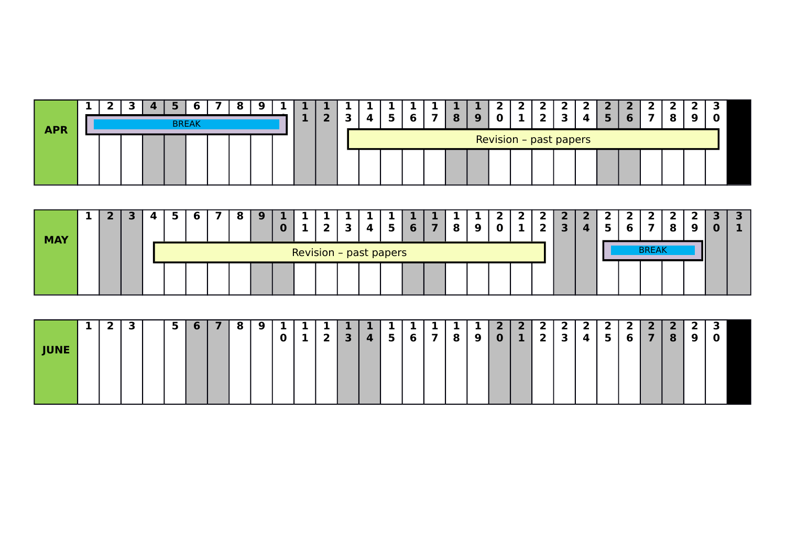|            |  | E. |  | <b>b</b>     | 8 |  |  |  | ж. |  |  |  |  |                        |  |   |  |
|------------|--|----|--|--------------|---|--|--|--|----|--|--|--|--|------------------------|--|---|--|
| <b>APR</b> |  |    |  | <b>BREAK</b> |   |  |  |  |    |  |  |  |  |                        |  | O |  |
|            |  |    |  |              |   |  |  |  |    |  |  |  |  | Revision - past papers |  |   |  |
|            |  |    |  |              |   |  |  |  |    |  |  |  |  |                        |  |   |  |
|            |  |    |  |              |   |  |  |  |    |  |  |  |  |                        |  |   |  |

| <b>MAY</b> |  |  | $\sim$ |  |  |  |  |                               |  | О |  |  |  |  |              |  |  |
|------------|--|--|--------|--|--|--|--|-------------------------------|--|---|--|--|--|--|--------------|--|--|
|            |  |  |        |  |  |  |  | <b>Revision - past papers</b> |  |   |  |  |  |  | <b>BREAK</b> |  |  |
|            |  |  |        |  |  |  |  |                               |  |   |  |  |  |  |              |  |  |

|             |  | З | 5 | <b>6</b> | 7 | 8 | 9 <sup>1</sup> | $\mathbf{1}$ | 1           | 1 | /1 V            |                   | $\mathbf{1}$ | $\mathbf{1}$   |          | $\mathbf{1}$   |   | $\mathbf{z}$            |          | $\mathbf{2}$   | $\mathbf{2}$ | <sup>2</sup> | -2 I            | $\overline{2}$ | 2 <sup>1</sup> | 2 <sub>1</sub> |                | э           |  |
|-------------|--|---|---|----------|---|---|----------------|--------------|-------------|---|-----------------|-------------------|--------------|----------------|----------|----------------|---|-------------------------|----------|----------------|--------------|--------------|-----------------|----------------|----------------|----------------|----------------|-------------|--|
| <b>JUNE</b> |  |   |   |          |   |   |                | $\mathbf 0$  | $\mathbf 1$ |   | $2 \mid 3 \mid$ | $\vert$ 4 $\vert$ | 5            | 6 <sup>1</sup> | <b>7</b> | 8 <sub>1</sub> | 9 | $\overline{\mathbf{0}}$ | $1 \mid$ | $\overline{2}$ | $\mathbf{3}$ | 4            | $\vert 5 \vert$ | $6 \mid$       |                | $781$          | 9 <sup>1</sup> | $\mathbf 0$ |  |
|             |  |   |   |          |   |   |                |              |             |   |                 |                   |              |                |          |                |   |                         |          |                |              |              |                 |                |                |                |                |             |  |
|             |  |   |   |          |   |   |                |              |             |   |                 |                   |              |                |          |                |   |                         |          |                |              |              |                 |                |                |                |                |             |  |
|             |  |   |   |          |   |   |                |              |             |   |                 |                   |              |                |          |                |   |                         |          |                |              |              |                 |                |                |                |                |             |  |